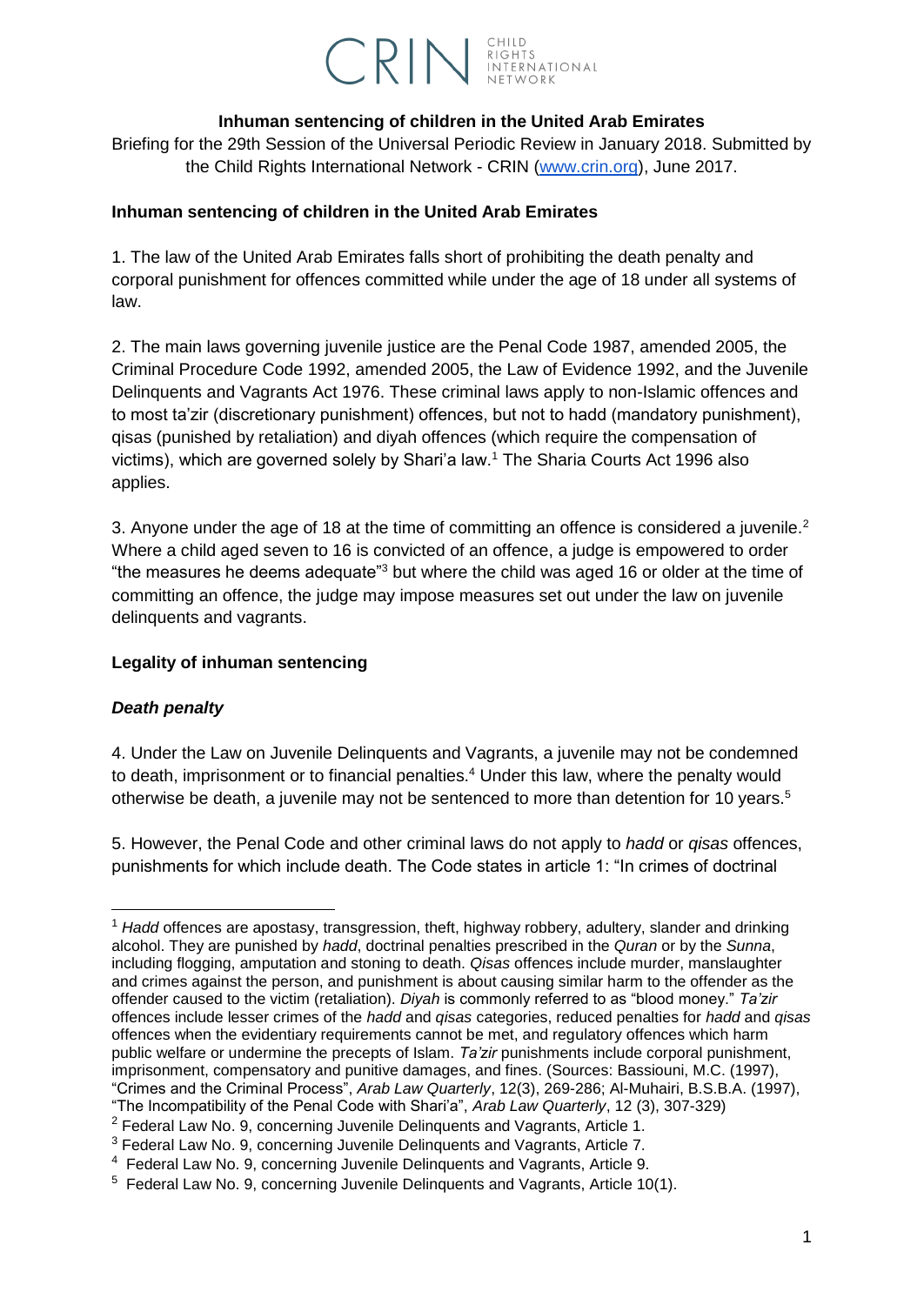

### **Inhuman sentencing of children in the United Arab Emirates**

Briefing for the 29th Session of the Universal Periodic Review in January 2018. Submitted by the Child Rights International Network - CRIN [\(www.crin.org\)](http://www.crin.org/), June 2017.

### **Inhuman sentencing of children in the United Arab Emirates**

1. The law of the United Arab Emirates falls short of prohibiting the death penalty and corporal punishment for offences committed while under the age of 18 under all systems of law.

2. The main laws governing juvenile justice are the Penal Code 1987, amended 2005, the Criminal Procedure Code 1992, amended 2005, the Law of Evidence 1992, and the Juvenile Delinquents and Vagrants Act 1976. These criminal laws apply to non-Islamic offences and to most ta'zir (discretionary punishment) offences, but not to hadd (mandatory punishment), qisas (punished by retaliation) and diyah offences (which require the compensation of victims), which are governed solely by Shari'a law.<sup>1</sup> The Sharia Courts Act 1996 also applies.

3. Anyone under the age of 18 at the time of committing an offence is considered a juvenile.<sup>2</sup> Where a child aged seven to 16 is convicted of an offence, a judge is empowered to order "the measures he deems adequate"<sup>3</sup> but where the child was aged 16 or older at the time of committing an offence, the judge may impose measures set out under the law on juvenile delinquents and vagrants.

#### **Legality of inhuman sentencing**

### *Death penalty*

-

4. Under the Law on Juvenile Delinquents and Vagrants, a juvenile may not be condemned to death, imprisonment or to financial penalties.<sup>4</sup> Under this law, where the penalty would otherwise be death, a juvenile may not be sentenced to more than detention for 10 years.<sup>5</sup>

5. However, the Penal Code and other criminal laws do not apply to *hadd* or *qisas* offences, punishments for which include death. The Code states in article 1: "In crimes of doctrinal

<sup>1</sup> *Hadd* offences are apostasy, transgression, theft, highway robbery, adultery, slander and drinking alcohol. They are punished by *hadd*, doctrinal penalties prescribed in the *Quran* or by the *Sunna*, including flogging, amputation and stoning to death. *Qisas* offences include murder, manslaughter and crimes against the person, and punishment is about causing similar harm to the offender as the offender caused to the victim (retaliation). *Diyah* is commonly referred to as "blood money." *Ta'zir* offences include lesser crimes of the *hadd* and *qisas* categories, reduced penalties for *hadd* and *qisas* offences when the evidentiary requirements cannot be met, and regulatory offences which harm public welfare or undermine the precepts of Islam. *Ta'zir* punishments include corporal punishment, imprisonment, compensatory and punitive damages, and fines. (Sources: Bassiouni, M.C. (1997), "Crimes and the Criminal Process", *Arab Law Quarterly*, 12(3), 269-286; Al-Muhairi, B.S.B.A. (1997), "The Incompatibility of the Penal Code with Shari'a", *Arab Law Quarterly*, 12 (3), 307-329)

<sup>&</sup>lt;sup>2</sup> Federal Law No. 9, concerning Juvenile Delinquents and Vagrants, Article 1.

<sup>&</sup>lt;sup>3</sup> Federal Law No. 9, concerning Juvenile Delinquents and Vagrants, Article 7.

<sup>&</sup>lt;sup>4</sup> Federal Law No. 9, concerning Juvenile Delinquents and Vagrants, Article 9.

 $5$  Federal Law No. 9, concerning Juvenile Delinquents and Vagrants, Article 10(1).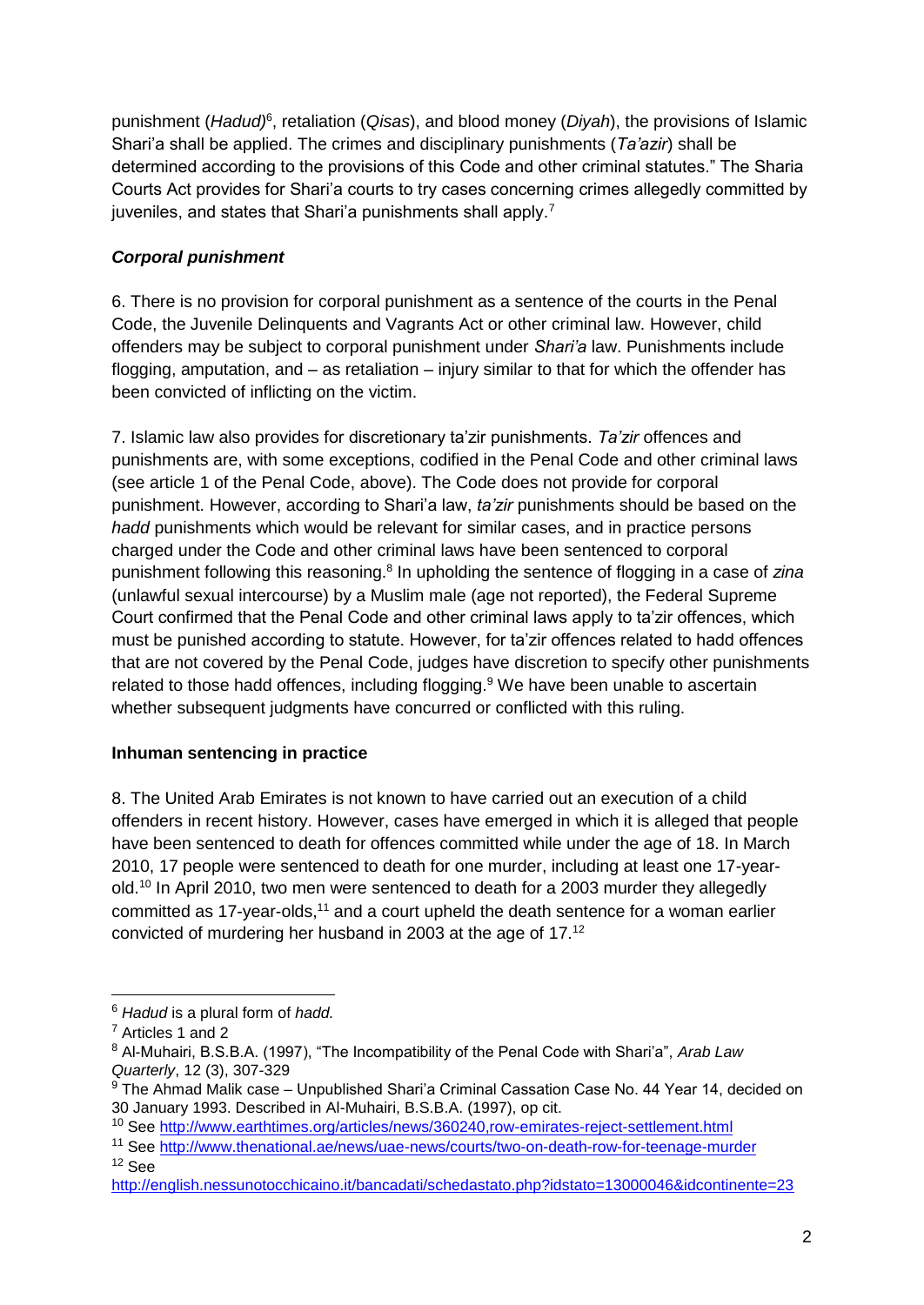punishment (*Hadud)*<sup>6</sup>, retaliation (Qisas), and blood money (*Diyah*), the provisions of Islamic Shari'a shall be applied. The crimes and disciplinary punishments (*Ta'azir*) shall be determined according to the provisions of this Code and other criminal statutes." The Sharia Courts Act provides for Shari'a courts to try cases concerning crimes allegedly committed by juveniles, and states that Shari'a punishments shall apply.<sup>7</sup>

# *Corporal punishment*

6. There is no provision for corporal punishment as a sentence of the courts in the Penal Code, the Juvenile Delinquents and Vagrants Act or other criminal law. However, child offenders may be subject to corporal punishment under *Shari'a* law. Punishments include flogging, amputation, and – as retaliation – injury similar to that for which the offender has been convicted of inflicting on the victim.

7. Islamic law also provides for discretionary ta'zir punishments. *Ta'zir* offences and punishments are, with some exceptions, codified in the Penal Code and other criminal laws (see article 1 of the Penal Code, above). The Code does not provide for corporal punishment. However, according to Shari'a law, *ta'zir* punishments should be based on the *hadd* punishments which would be relevant for similar cases, and in practice persons charged under the Code and other criminal laws have been sentenced to corporal punishment following this reasoning.<sup>8</sup> In upholding the sentence of flogging in a case of zina (unlawful sexual intercourse) by a Muslim male (age not reported), the Federal Supreme Court confirmed that the Penal Code and other criminal laws apply to ta'zir offences, which must be punished according to statute. However, for ta'zir offences related to hadd offences that are not covered by the Penal Code, judges have discretion to specify other punishments related to those hadd offences, including flogging.<sup>9</sup> We have been unable to ascertain whether subsequent judgments have concurred or conflicted with this ruling.

### **Inhuman sentencing in practice**

8. The United Arab Emirates is not known to have carried out an execution of a child offenders in recent history. However, cases have emerged in which it is alleged that people have been sentenced to death for offences committed while under the age of 18. In March 2010, 17 people were sentenced to death for one murder, including at least one 17-yearold.<sup>10</sup> In April 2010, two men were sentenced to death for a 2003 murder they allegedly committed as 17-year-olds,<sup>11</sup> and a court upheld the death sentence for a woman earlier convicted of murdering her husband in 2003 at the age of 17.<sup>12</sup>

<sup>12</sup> See

-

<sup>6</sup> *Hadud* is a plural form of *hadd.*

<sup>7</sup> Articles 1 and 2

<sup>8</sup> Al-Muhairi, B.S.B.A. (1997), "The Incompatibility of the Penal Code with Shari'a", *Arab Law Quarterly*, 12 (3), 307-329

 $9$  The Ahmad Malik case – Unpublished Shari'a Criminal Cassation Case No. 44 Year 14, decided on 30 January 1993. Described in Al-Muhairi, B.S.B.A. (1997), op cit.

<sup>10</sup> See<http://www.earthtimes.org/articles/news/360240,row-emirates-reject-settlement.html>

<sup>11</sup> See<http://www.thenational.ae/news/uae-news/courts/two-on-death-row-for-teenage-murder>

<http://english.nessunotocchicaino.it/bancadati/schedastato.php?idstato=13000046&idcontinente=23>